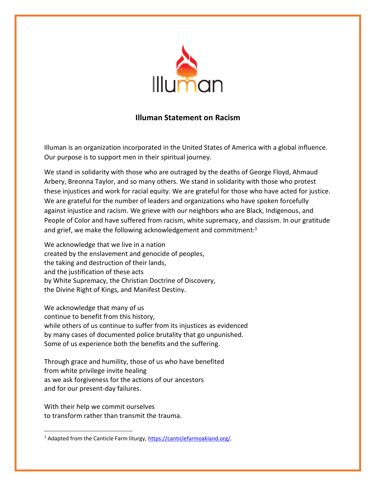

## **Illuman Statement on Racism**

Illuman is an organization incorporated in the United States of America with a global influence. Our purpose is to support men in their spiritual journey.

We stand in solidarity with those who are outraged by the deaths of George Floyd, Ahmaud Arbery, Breonna Taylor, and so many others. We stand in solidarity with those who protest these injustices and work for racial equity. We are grateful for those who have acted for justice. We are grateful for the number of leaders and organizations who have spoken forcefully against injustice and racism. We grieve with our neighbors who are Black, Indigenous, and People of Color and have suffered from racism, white supremacy, and classism. In our gratitude and grief, we make the following acknowledgement and commitment: $1$ 

We acknowledge that we live in a nation created by the enslavement and genocide of peoples, the taking and destruction of their lands, and the justification of these acts by White Supremacy, the Christian Doctrine of Discovery, the Divine Right of Kings, and Manifest Destiny.

We acknowledge that many of us continue to benefit from this history, while others of us continue to suffer from its injustices as evidenced by many cases of documented police brutality that go unpunished. Some of us experience both the benefits and the suffering.

Through grace and humility, those of us who have benefited from white privilege invite healing as we ask forgiveness for the actions of our ancestors and for our present-day failures.

With their help we commit ourselves to transform rather than transmit the trauma.

<sup>&</sup>lt;sup>1</sup> Adapted from the Canticle Farm liturgy, https://canticlefarmoakland.org/